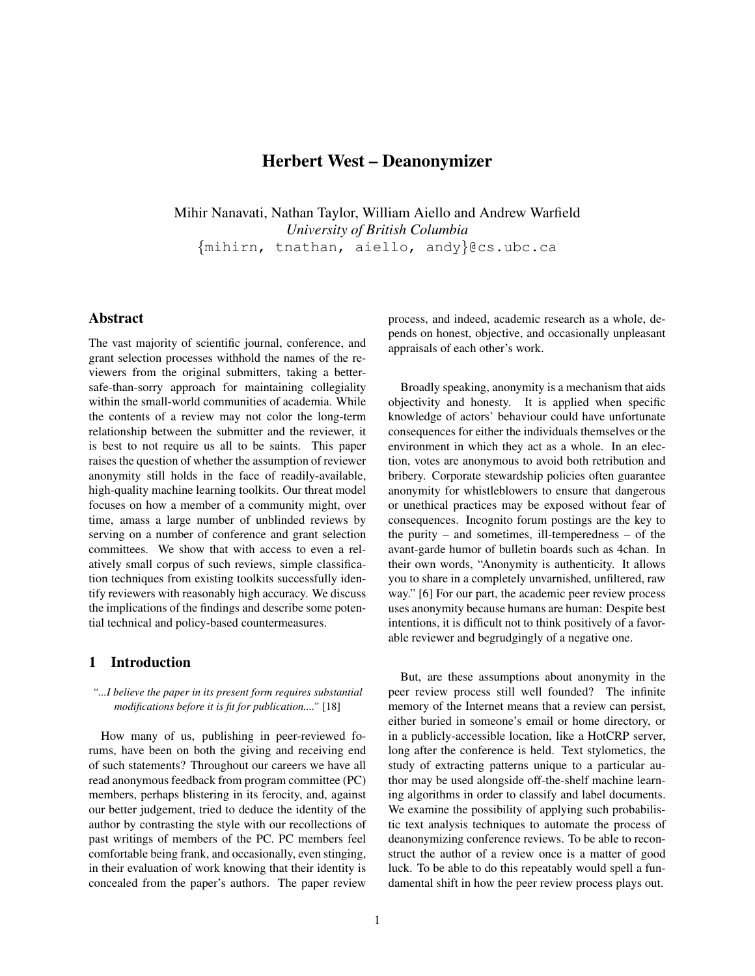# Herbert West – Deanonymizer

Mihir Nanavati, Nathan Taylor, William Aiello and Andrew Warfield *University of British Columbia* {mihirn, tnathan, aiello, andy}@cs.ubc.ca

# Abstract

The vast majority of scientific journal, conference, and grant selection processes withhold the names of the reviewers from the original submitters, taking a bettersafe-than-sorry approach for maintaining collegiality within the small-world communities of academia. While the contents of a review may not color the long-term relationship between the submitter and the reviewer, it is best to not require us all to be saints. This paper raises the question of whether the assumption of reviewer anonymity still holds in the face of readily-available, high-quality machine learning toolkits. Our threat model focuses on how a member of a community might, over time, amass a large number of unblinded reviews by serving on a number of conference and grant selection committees. We show that with access to even a relatively small corpus of such reviews, simple classification techniques from existing toolkits successfully identify reviewers with reasonably high accuracy. We discuss the implications of the findings and describe some potential technical and policy-based countermeasures.

## 1 Introduction

#### *"...I believe the paper in its present form requires substantial modifications before it is fit for publication...."* [18]

How many of us, publishing in peer-reviewed forums, have been on both the giving and receiving end of such statements? Throughout our careers we have all read anonymous feedback from program committee (PC) members, perhaps blistering in its ferocity, and, against our better judgement, tried to deduce the identity of the author by contrasting the style with our recollections of past writings of members of the PC. PC members feel comfortable being frank, and occasionally, even stinging, in their evaluation of work knowing that their identity is concealed from the paper's authors. The paper review process, and indeed, academic research as a whole, depends on honest, objective, and occasionally unpleasant appraisals of each other's work.

Broadly speaking, anonymity is a mechanism that aids objectivity and honesty. It is applied when specific knowledge of actors' behaviour could have unfortunate consequences for either the individuals themselves or the environment in which they act as a whole. In an election, votes are anonymous to avoid both retribution and bribery. Corporate stewardship policies often guarantee anonymity for whistleblowers to ensure that dangerous or unethical practices may be exposed without fear of consequences. Incognito forum postings are the key to the purity – and sometimes, ill-temperedness – of the avant-garde humor of bulletin boards such as 4chan. In their own words, "Anonymity is authenticity. It allows you to share in a completely unvarnished, unfiltered, raw way." [6] For our part, the academic peer review process uses anonymity because humans are human: Despite best intentions, it is difficult not to think positively of a favorable reviewer and begrudgingly of a negative one.

But, are these assumptions about anonymity in the peer review process still well founded? The infinite memory of the Internet means that a review can persist, either buried in someone's email or home directory, or in a publicly-accessible location, like a HotCRP server, long after the conference is held. Text stylometics, the study of extracting patterns unique to a particular author may be used alongside off-the-shelf machine learning algorithms in order to classify and label documents. We examine the possibility of applying such probabilistic text analysis techniques to automate the process of deanonymizing conference reviews. To be able to reconstruct the author of a review once is a matter of good luck. To be able to do this repeatably would spell a fundamental shift in how the peer review process plays out.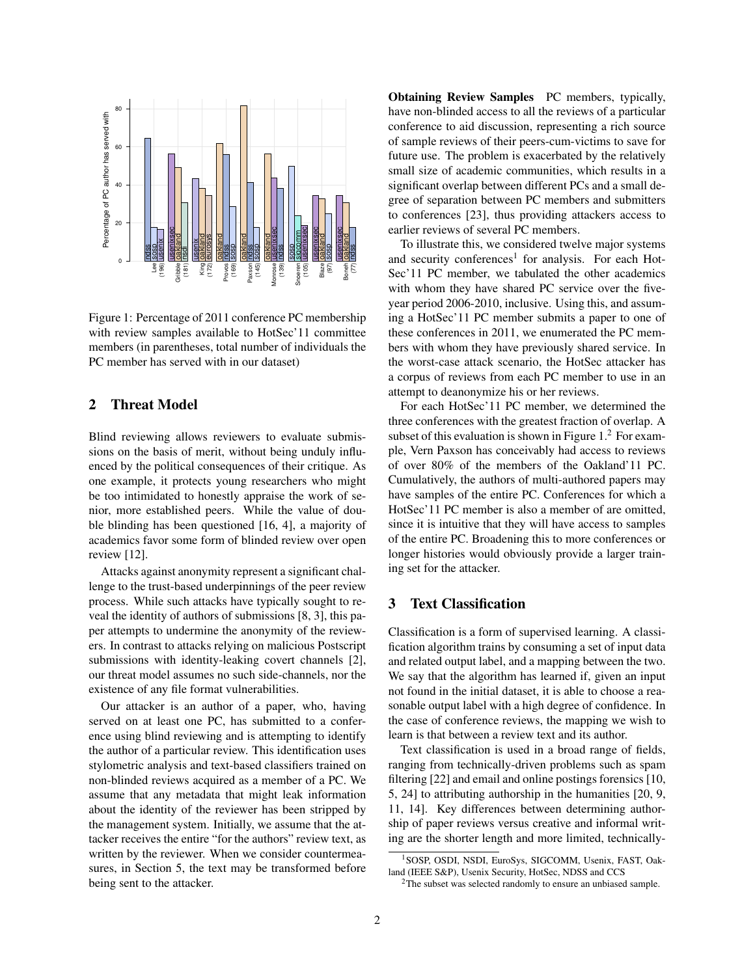

Figure 1: Percentage of 2011 conference PC membership with review samples available to HotSec'11 committee members (in parentheses, total number of individuals the PC member has served with in our dataset)

# 2 Threat Model

Blind reviewing allows reviewers to evaluate submissions on the basis of merit, without being unduly influenced by the political consequences of their critique. As one example, it protects young researchers who might be too intimidated to honestly appraise the work of senior, more established peers. While the value of double blinding has been questioned [16, 4], a majority of academics favor some form of blinded review over open review [12].

Attacks against anonymity represent a significant challenge to the trust-based underpinnings of the peer review process. While such attacks have typically sought to reveal the identity of authors of submissions [8, 3], this paper attempts to undermine the anonymity of the reviewers. In contrast to attacks relying on malicious Postscript submissions with identity-leaking covert channels [2], our threat model assumes no such side-channels, nor the existence of any file format vulnerabilities.

Our attacker is an author of a paper, who, having served on at least one PC, has submitted to a conference using blind reviewing and is attempting to identify the author of a particular review. This identification uses stylometric analysis and text-based classifiers trained on non-blinded reviews acquired as a member of a PC. We assume that any metadata that might leak information about the identity of the reviewer has been stripped by the management system. Initially, we assume that the attacker receives the entire "for the authors" review text, as written by the reviewer. When we consider countermeasures, in Section 5, the text may be transformed before being sent to the attacker.

Obtaining Review Samples PC members, typically, have non-blinded access to all the reviews of a particular conference to aid discussion, representing a rich source of sample reviews of their peers-cum-victims to save for future use. The problem is exacerbated by the relatively small size of academic communities, which results in a significant overlap between different PCs and a small degree of separation between PC members and submitters to conferences [23], thus providing attackers access to earlier reviews of several PC members.

To illustrate this, we considered twelve major systems and security conferences<sup>1</sup> for analysis. For each Hot-Sec'11 PC member, we tabulated the other academics with whom they have shared PC service over the fiveyear period 2006-2010, inclusive. Using this, and assuming a HotSec'11 PC member submits a paper to one of these conferences in 2011, we enumerated the PC members with whom they have previously shared service. In the worst-case attack scenario, the HotSec attacker has a corpus of reviews from each PC member to use in an attempt to deanonymize his or her reviews.

For each HotSec'11 PC member, we determined the three conferences with the greatest fraction of overlap. A subset of this evaluation is shown in Figure  $1<sup>2</sup>$  For example, Vern Paxson has conceivably had access to reviews of over 80% of the members of the Oakland'11 PC. Cumulatively, the authors of multi-authored papers may have samples of the entire PC. Conferences for which a HotSec'11 PC member is also a member of are omitted, since it is intuitive that they will have access to samples of the entire PC. Broadening this to more conferences or longer histories would obviously provide a larger training set for the attacker.

# 3 Text Classification

Classification is a form of supervised learning. A classification algorithm trains by consuming a set of input data and related output label, and a mapping between the two. We say that the algorithm has learned if, given an input not found in the initial dataset, it is able to choose a reasonable output label with a high degree of confidence. In the case of conference reviews, the mapping we wish to learn is that between a review text and its author.

Text classification is used in a broad range of fields, ranging from technically-driven problems such as spam filtering [22] and email and online postings forensics [10, 5, 24] to attributing authorship in the humanities [20, 9, 11, 14]. Key differences between determining authorship of paper reviews versus creative and informal writing are the shorter length and more limited, technically-

<sup>&</sup>lt;sup>1</sup>SOSP, OSDI, NSDI, EuroSys, SIGCOMM, Usenix, FAST, Oakland (IEEE S&P), Usenix Security, HotSec, NDSS and CCS

<sup>&</sup>lt;sup>2</sup>The subset was selected randomly to ensure an unbiased sample.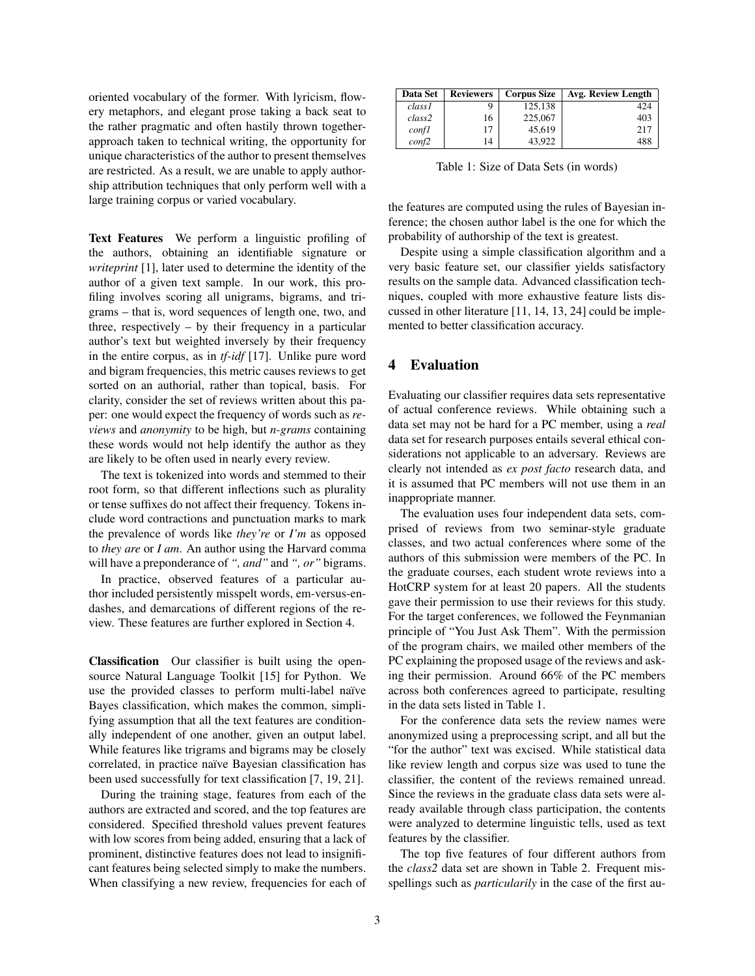oriented vocabulary of the former. With lyricism, flowery metaphors, and elegant prose taking a back seat to the rather pragmatic and often hastily thrown togetherapproach taken to technical writing, the opportunity for unique characteristics of the author to present themselves are restricted. As a result, we are unable to apply authorship attribution techniques that only perform well with a large training corpus or varied vocabulary.

Text Features We perform a linguistic profiling of the authors, obtaining an identifiable signature or *writeprint* [1], later used to determine the identity of the author of a given text sample. In our work, this profiling involves scoring all unigrams, bigrams, and trigrams – that is, word sequences of length one, two, and three, respectively – by their frequency in a particular author's text but weighted inversely by their frequency in the entire corpus, as in *tf-idf* [17]. Unlike pure word and bigram frequencies, this metric causes reviews to get sorted on an authorial, rather than topical, basis. For clarity, consider the set of reviews written about this paper: one would expect the frequency of words such as *reviews* and *anonymity* to be high, but *n-grams* containing these words would not help identify the author as they are likely to be often used in nearly every review.

The text is tokenized into words and stemmed to their root form, so that different inflections such as plurality or tense suffixes do not affect their frequency. Tokens include word contractions and punctuation marks to mark the prevalence of words like *they're* or *I'm* as opposed to *they are* or *I am*. An author using the Harvard comma will have a preponderance of *", and"* and *", or"* bigrams.

In practice, observed features of a particular author included persistently misspelt words, em-versus-endashes, and demarcations of different regions of the review. These features are further explored in Section 4.

Classification Our classifier is built using the opensource Natural Language Toolkit [15] for Python. We use the provided classes to perform multi-label naïve Bayes classification, which makes the common, simplifying assumption that all the text features are conditionally independent of one another, given an output label. While features like trigrams and bigrams may be closely correlated, in practice naïve Bayesian classification has been used successfully for text classification [7, 19, 21].

During the training stage, features from each of the authors are extracted and scored, and the top features are considered. Specified threshold values prevent features with low scores from being added, ensuring that a lack of prominent, distinctive features does not lead to insignificant features being selected simply to make the numbers. When classifying a new review, frequencies for each of

| Data Set       | <b>Reviewers</b> | <b>Corpus Size</b> | Avg. Review Length |
|----------------|------------------|--------------------|--------------------|
| class1         |                  | 125.138            | 424                |
| class2         | 16               | 225,067            | 403                |
| confl          | 17               | 45.619             | 217                |
| $\text{conf2}$ | 14               | 43.922             | 488                |

Table 1: Size of Data Sets (in words)

the features are computed using the rules of Bayesian inference; the chosen author label is the one for which the probability of authorship of the text is greatest.

Despite using a simple classification algorithm and a very basic feature set, our classifier yields satisfactory results on the sample data. Advanced classification techniques, coupled with more exhaustive feature lists discussed in other literature [11, 14, 13, 24] could be implemented to better classification accuracy.

# 4 Evaluation

Evaluating our classifier requires data sets representative of actual conference reviews. While obtaining such a data set may not be hard for a PC member, using a *real* data set for research purposes entails several ethical considerations not applicable to an adversary. Reviews are clearly not intended as *ex post facto* research data, and it is assumed that PC members will not use them in an inappropriate manner.

The evaluation uses four independent data sets, comprised of reviews from two seminar-style graduate classes, and two actual conferences where some of the authors of this submission were members of the PC. In the graduate courses, each student wrote reviews into a HotCRP system for at least 20 papers. All the students gave their permission to use their reviews for this study. For the target conferences, we followed the Feynmanian principle of "You Just Ask Them". With the permission of the program chairs, we mailed other members of the PC explaining the proposed usage of the reviews and asking their permission. Around 66% of the PC members across both conferences agreed to participate, resulting in the data sets listed in Table 1.

For the conference data sets the review names were anonymized using a preprocessing script, and all but the "for the author" text was excised. While statistical data like review length and corpus size was used to tune the classifier, the content of the reviews remained unread. Since the reviews in the graduate class data sets were already available through class participation, the contents were analyzed to determine linguistic tells, used as text features by the classifier.

The top five features of four different authors from the *class2* data set are shown in Table 2. Frequent misspellings such as *particularily* in the case of the first au-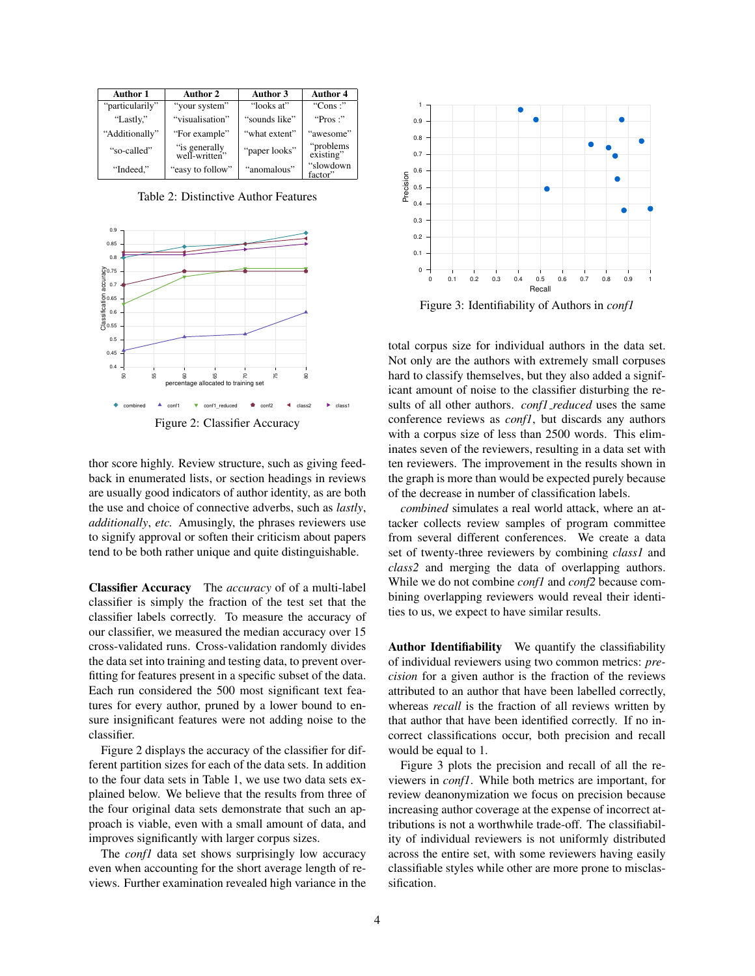| Author 1        | <b>Author 2</b>                 | Author 3      | <b>Author 4</b>         |
|-----------------|---------------------------------|---------------|-------------------------|
| "particularily" | "your system"                   | "looks at"    | "Cons $\cdot$ "         |
| "Lastly,"       | "visualisation"                 | "sounds like" | " $Pros$ :"             |
| "Additionally"  | "For example"                   | "what extent" | "awesome"               |
| "so-called"     | "is generally,<br>well-written" | "paper looks" | "problems"<br>existing" |
| "Indeed,"       | "easy to follow"                | "anomalous"   | "slowdown<br>factor"    |

Table 2: Distinctive Author Features



thor score highly. Review structure, such as giving feedback in enumerated lists, or section headings in reviews are usually good indicators of author identity, as are both the use and choice of connective adverbs, such as *lastly*, *additionally*, *etc.* Amusingly, the phrases reviewers use to signify approval or soften their criticism about papers tend to be both rather unique and quite distinguishable.

Classifier Accuracy The *accuracy* of of a multi-label classifier is simply the fraction of the test set that the classifier labels correctly. To measure the accuracy of our classifier, we measured the median accuracy over 15 cross-validated runs. Cross-validation randomly divides the data set into training and testing data, to prevent overfitting for features present in a specific subset of the data. Each run considered the 500 most significant text features for every author, pruned by a lower bound to ensure insignificant features were not adding noise to the classifier.

Figure 2 displays the accuracy of the classifier for different partition sizes for each of the data sets. In addition to the four data sets in Table 1, we use two data sets explained below. We believe that the results from three of the four original data sets demonstrate that such an approach is viable, even with a small amount of data, and improves significantly with larger corpus sizes.

The *conf1* data set shows surprisingly low accuracy even when accounting for the short average length of reviews. Further examination revealed high variance in the



Figure 3: Identifiability of Authors in *conf1*

total corpus size for individual authors in the data set. Not only are the authors with extremely small corpuses hard to classify themselves, but they also added a significant amount of noise to the classifier disturbing the results of all other authors. *conf1 reduced* uses the same conference reviews as *conf1*, but discards any authors with a corpus size of less than 2500 words. This eliminates seven of the reviewers, resulting in a data set with ten reviewers. The improvement in the results shown in the graph is more than would be expected purely because of the decrease in number of classification labels.

*combined* simulates a real world attack, where an attacker collects review samples of program committee from several different conferences. We create a data set of twenty-three reviewers by combining *class1* and *class2* and merging the data of overlapping authors. While we do not combine *conf1* and *conf2* because combining overlapping reviewers would reveal their identities to us, we expect to have similar results.

Author Identifiability We quantify the classifiability of individual reviewers using two common metrics: *precision* for a given author is the fraction of the reviews attributed to an author that have been labelled correctly, whereas *recall* is the fraction of all reviews written by that author that have been identified correctly. If no incorrect classifications occur, both precision and recall would be equal to 1.

Figure 3 plots the precision and recall of all the reviewers in *conf1*. While both metrics are important, for review deanonymization we focus on precision because increasing author coverage at the expense of incorrect attributions is not a worthwhile trade-off. The classifiability of individual reviewers is not uniformly distributed across the entire set, with some reviewers having easily classifiable styles while other are more prone to misclassification.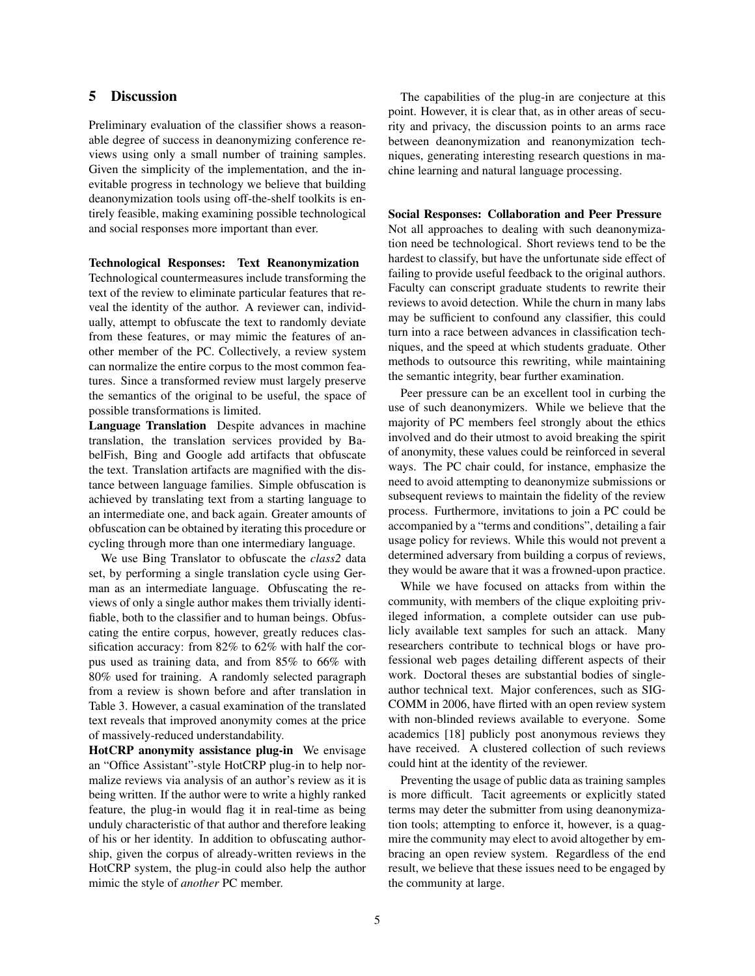# 5 Discussion

Preliminary evaluation of the classifier shows a reasonable degree of success in deanonymizing conference reviews using only a small number of training samples. Given the simplicity of the implementation, and the inevitable progress in technology we believe that building deanonymization tools using off-the-shelf toolkits is entirely feasible, making examining possible technological and social responses more important than ever.

#### Technological Responses: Text Reanonymization

Technological countermeasures include transforming the text of the review to eliminate particular features that reveal the identity of the author. A reviewer can, individually, attempt to obfuscate the text to randomly deviate from these features, or may mimic the features of another member of the PC. Collectively, a review system can normalize the entire corpus to the most common features. Since a transformed review must largely preserve the semantics of the original to be useful, the space of possible transformations is limited.

Language Translation Despite advances in machine translation, the translation services provided by BabelFish, Bing and Google add artifacts that obfuscate the text. Translation artifacts are magnified with the distance between language families. Simple obfuscation is achieved by translating text from a starting language to an intermediate one, and back again. Greater amounts of obfuscation can be obtained by iterating this procedure or cycling through more than one intermediary language.

We use Bing Translator to obfuscate the *class2* data set, by performing a single translation cycle using German as an intermediate language. Obfuscating the reviews of only a single author makes them trivially identifiable, both to the classifier and to human beings. Obfuscating the entire corpus, however, greatly reduces classification accuracy: from 82% to 62% with half the corpus used as training data, and from 85% to 66% with 80% used for training. A randomly selected paragraph from a review is shown before and after translation in Table 3. However, a casual examination of the translated text reveals that improved anonymity comes at the price of massively-reduced understandability.

HotCRP anonymity assistance plug-in We envisage an "Office Assistant"-style HotCRP plug-in to help normalize reviews via analysis of an author's review as it is being written. If the author were to write a highly ranked feature, the plug-in would flag it in real-time as being unduly characteristic of that author and therefore leaking of his or her identity. In addition to obfuscating authorship, given the corpus of already-written reviews in the HotCRP system, the plug-in could also help the author mimic the style of *another* PC member.

The capabilities of the plug-in are conjecture at this point. However, it is clear that, as in other areas of security and privacy, the discussion points to an arms race between deanonymization and reanonymization techniques, generating interesting research questions in machine learning and natural language processing.

#### Social Responses: Collaboration and Peer Pressure

Not all approaches to dealing with such deanonymization need be technological. Short reviews tend to be the hardest to classify, but have the unfortunate side effect of failing to provide useful feedback to the original authors. Faculty can conscript graduate students to rewrite their reviews to avoid detection. While the churn in many labs may be sufficient to confound any classifier, this could turn into a race between advances in classification techniques, and the speed at which students graduate. Other methods to outsource this rewriting, while maintaining the semantic integrity, bear further examination.

Peer pressure can be an excellent tool in curbing the use of such deanonymizers. While we believe that the majority of PC members feel strongly about the ethics involved and do their utmost to avoid breaking the spirit of anonymity, these values could be reinforced in several ways. The PC chair could, for instance, emphasize the need to avoid attempting to deanonymize submissions or subsequent reviews to maintain the fidelity of the review process. Furthermore, invitations to join a PC could be accompanied by a "terms and conditions", detailing a fair usage policy for reviews. While this would not prevent a determined adversary from building a corpus of reviews, they would be aware that it was a frowned-upon practice.

While we have focused on attacks from within the community, with members of the clique exploiting privileged information, a complete outsider can use publicly available text samples for such an attack. Many researchers contribute to technical blogs or have professional web pages detailing different aspects of their work. Doctoral theses are substantial bodies of singleauthor technical text. Major conferences, such as SIG-COMM in 2006, have flirted with an open review system with non-blinded reviews available to everyone. Some academics [18] publicly post anonymous reviews they have received. A clustered collection of such reviews could hint at the identity of the reviewer.

Preventing the usage of public data as training samples is more difficult. Tacit agreements or explicitly stated terms may deter the submitter from using deanonymization tools; attempting to enforce it, however, is a quagmire the community may elect to avoid altogether by embracing an open review system. Regardless of the end result, we believe that these issues need to be engaged by the community at large.